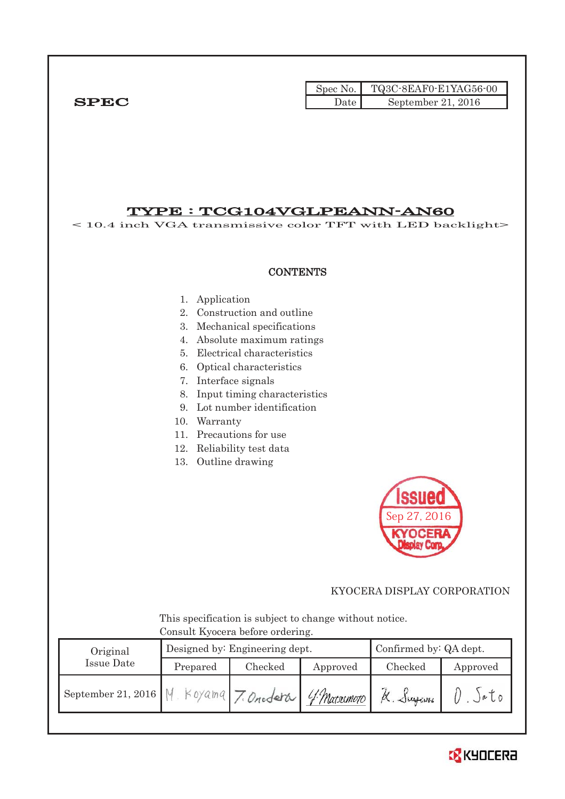|              |       | Spec No. TQ3C-8EAF0-E1YAG56-00 |
|--------------|-------|--------------------------------|
| ${\bf SPEC}$ | Date. | September 21, 2016             |

# TYPE : TCG104VGLPEANN-AN60

< 10.4 inch VGA transmissive color TFT with LED backlight>

#### **CONTENTS**

- 1. Application
- 2. Construction and outline
- 3. Mechanical specifications
- 4. Absolute maximum ratings
- 5. Electrical characteristics
- 6. Optical characteristics
- 7. Interface signals
- 8. Input timing characteristics
- 9. Lot number identification
- 10. Warranty
- 11. Precautions for use
- 12. Reliability test data
- 13. Outline drawing



#### KYOCERA DISPLAY CORPORATION

 This specification is subject to change without notice. Consult Kyocera before ordering.

| Original           |          | Designed by: Engineering dept. | Confirmed by: QA dept. |          |          |  |  |  |
|--------------------|----------|--------------------------------|------------------------|----------|----------|--|--|--|
| Issue Date         | Prepared | Checked                        | Approved               | Checked  | Approved |  |  |  |
| September 21, 2016 |          | Koyama 7. Onodera G. Macromoro |                        | K. Sugam | a to     |  |  |  |

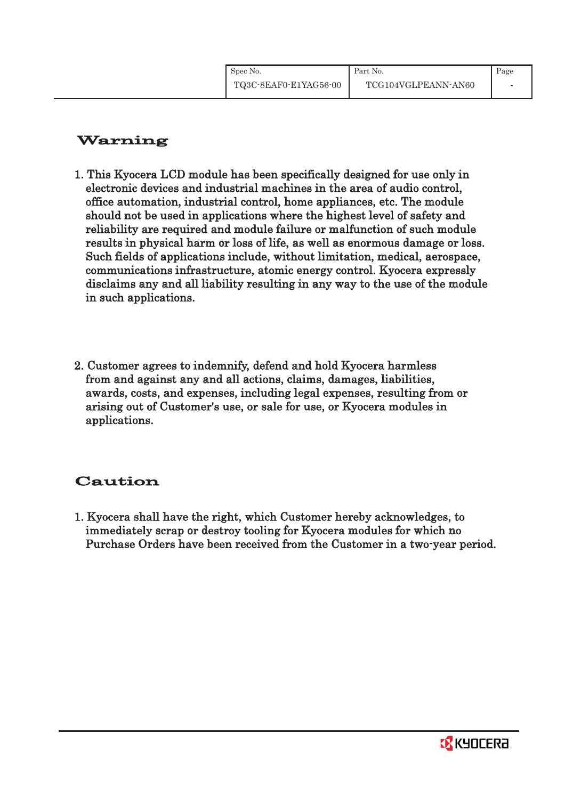# Warning

- 1. This Kyocera LCD module has been specifically designed for use only in electronic devices and industrial machines in the area of audio control, office automation, industrial control, home appliances, etc. The module should not be used in applications where the highest level of safety and reliability are required and module failure or malfunction of such module results in physical harm or loss of life, as well as enormous damage or loss. Such fields of applications include, without limitation, medical, aerospace, communications infrastructure, atomic energy control. Kyocera expressly disclaims any and all liability resulting in any way to the use of the module in such applications.
- 2. Customer agrees to indemnify, defend and hold Kyocera harmless from and against any and all actions, claims, damages, liabilities, awards, costs, and expenses, including legal expenses, resulting from or arising out of Customer's use, or sale for use, or Kyocera modules in applications.

# Caution

1. Kyocera shall have the right, which Customer hereby acknowledges, to immediately scrap or destroy tooling for Kyocera modules for which no Purchase Orders have been received from the Customer in a two-year period.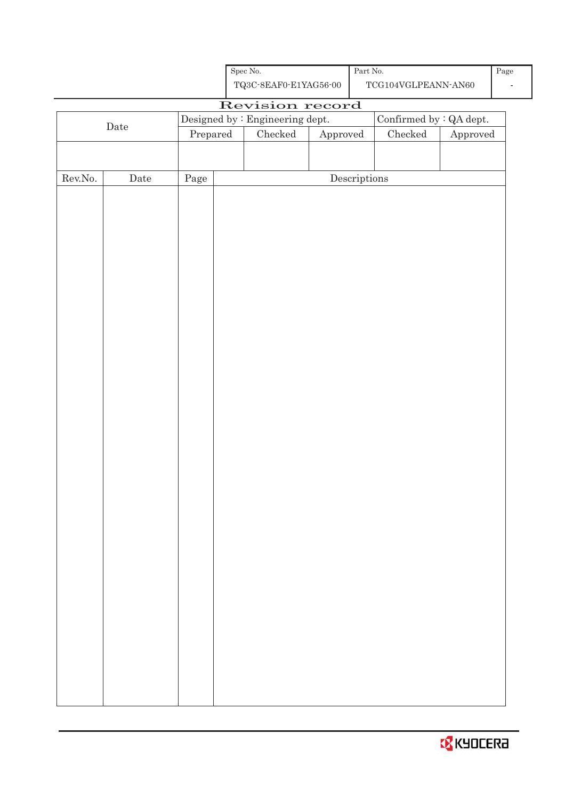

|                  |             |          | 1 do operto privado oo          |                        |                                      | LOOTDE AND LIGHT THAT ALLOU |          |
|------------------|-------------|----------|---------------------------------|------------------------|--------------------------------------|-----------------------------|----------|
|                  |             |          | Revision record                 |                        |                                      |                             |          |
|                  | $\rm{Date}$ |          | Designed by : Engineering dept. |                        |                                      | Confirmed by : QA dept.     |          |
|                  |             | Prepared | $\rm Checked$                   | ${\Large\bf Approved}$ |                                      | $\rm Checked$               | Approved |
|                  |             |          |                                 |                        |                                      |                             |          |
|                  |             |          |                                 |                        |                                      |                             |          |
| ${\rm Rev. No.}$ | $\rm{Date}$ | Page     |                                 |                        | $\label{eq:2} \textbf{Descriptions}$ |                             |          |
|                  |             |          |                                 |                        |                                      |                             |          |
|                  |             |          |                                 |                        |                                      |                             |          |
|                  |             |          |                                 |                        |                                      |                             |          |
|                  |             |          |                                 |                        |                                      |                             |          |
|                  |             |          |                                 |                        |                                      |                             |          |
|                  |             |          |                                 |                        |                                      |                             |          |
|                  |             |          |                                 |                        |                                      |                             |          |
|                  |             |          |                                 |                        |                                      |                             |          |
|                  |             |          |                                 |                        |                                      |                             |          |
|                  |             |          |                                 |                        |                                      |                             |          |
|                  |             |          |                                 |                        |                                      |                             |          |
|                  |             |          |                                 |                        |                                      |                             |          |
|                  |             |          |                                 |                        |                                      |                             |          |
|                  |             |          |                                 |                        |                                      |                             |          |
|                  |             |          |                                 |                        |                                      |                             |          |
|                  |             |          |                                 |                        |                                      |                             |          |
|                  |             |          |                                 |                        |                                      |                             |          |
|                  |             |          |                                 |                        |                                      |                             |          |
|                  |             |          |                                 |                        |                                      |                             |          |
|                  |             |          |                                 |                        |                                      |                             |          |
|                  |             |          |                                 |                        |                                      |                             |          |
|                  |             |          |                                 |                        |                                      |                             |          |
|                  |             |          |                                 |                        |                                      |                             |          |
|                  |             |          |                                 |                        |                                      |                             |          |
|                  |             |          |                                 |                        |                                      |                             |          |
|                  |             |          |                                 |                        |                                      |                             |          |
|                  |             |          |                                 |                        |                                      |                             |          |
|                  |             |          |                                 |                        |                                      |                             |          |
|                  |             |          |                                 |                        |                                      |                             |          |
|                  |             |          |                                 |                        |                                      |                             |          |
|                  |             |          |                                 |                        |                                      |                             |          |
|                  |             |          |                                 |                        |                                      |                             |          |
|                  |             |          |                                 |                        |                                      |                             |          |
|                  |             |          |                                 |                        |                                      |                             |          |

ι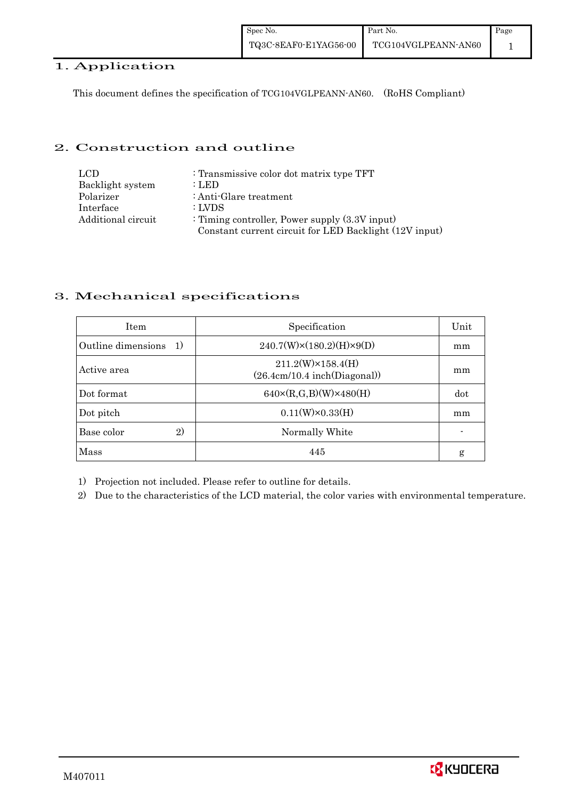#### 1. Application

This document defines the specification of TCG104VGLPEANN-AN60. (RoHS Compliant)

#### 2. Construction and outline

| LCD.               | : Transmissive color dot matrix type TFT               |
|--------------------|--------------------------------------------------------|
| Backlight system   | : LED                                                  |
| Polarizer          | : Anti-Glare treatment                                 |
| Interface          | : LVDS                                                 |
| Additional circuit | : Timing controller, Power supply $(3.3V)$ input)      |
|                    | Constant current circuit for LED Backlight (12V input) |

#### 3. Mechanical specifications

| <b>Item</b>                | Specification                                             | Unit |
|----------------------------|-----------------------------------------------------------|------|
| Outline dimensions<br>-1)  | $240.7(W)\times(180.2)(H)\times9(D)$                      | mm   |
| Active area                | $211.2(W)\times 158.4(H)$<br>(26.4cm/10.4~inch(Diagonal)) | mm   |
| Dot format                 | $640 \times (R,G,B)(W) \times 480(H)$                     | dot  |
| Dot pitch                  | $0.11(W)\times0.33(H)$                                    | mm   |
| $\mathbf{2}$<br>Base color | Normally White                                            |      |
| Mass                       | 445                                                       | g    |

1) Projection not included. Please refer to outline for details.

2) Due to the characteristics of the LCD material, the color varies with environmental temperature.

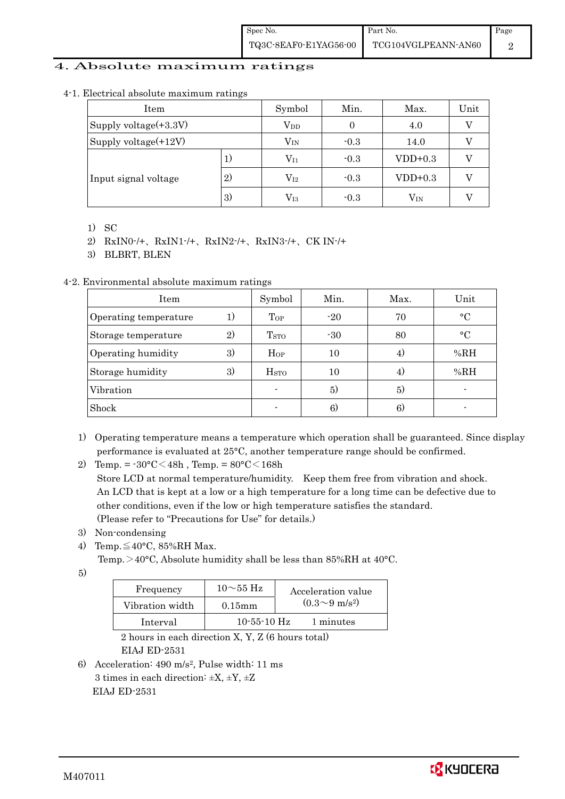#### 4. Absolute maximum ratings

| Item                  |                   | Symbol       | Min.   | Max.      | Unit |
|-----------------------|-------------------|--------------|--------|-----------|------|
| Supply voltage(+3.3V) |                   | $V_{DD}$     |        | 4.0       |      |
| Supply voltage(+12V)  |                   | $V_{IN}$     | $-0.3$ | 14.0      |      |
| Input signal voltage  | 1)                | $\rm V_{I1}$ | $-0.3$ | $VDD+0.3$ |      |
|                       | $\left( 2\right)$ | $\rm V_{I2}$ | $-0.3$ | $VDD+0.3$ |      |
|                       | 3)                | $\rm V_{I3}$ | $-0.3$ | $V_{IN}$  |      |

4-1. Electrical absolute maximum ratings

- 1) SC
- 2) RxIN0-/+、RxIN1-/+、RxIN2-/+、RxIN3-/+、CK IN-/+

3) BLBRT, BLEN

#### 4-2. Environmental absolute maximum ratings

| Item                  |    | Symbol                  | Min.  | Max. | Unit        |
|-----------------------|----|-------------------------|-------|------|-------------|
| Operating temperature | 1) | $\Gamma_{OP}$           | $-20$ | 70   | $\circ$ C   |
| Storage temperature   | 2) | <b>T</b> <sub>STO</sub> | $-30$ | 80   | $^{\circ}C$ |
| Operating humidity    | 3) | Hop                     | 10    | 4)   | %RH         |
| Storage humidity      | 3) | H <sub>STO</sub>        | 10    | 4)   | %RH         |
| Vibration             |    |                         | 5)    | 5)   |             |
| Shock                 |    |                         | 6)    | 6)   |             |

1) Operating temperature means a temperature which operation shall be guaranteed. Since display performance is evaluated at 25°C, another temperature range should be confirmed.

2) Temp. =  $-30^{\circ}$ C $<$ 48h, Temp. =  $80^{\circ}$ C $<$ 168h Store LCD at normal temperature/humidity. Keep them free from vibration and shock. An LCD that is kept at a low or a high temperature for a long time can be defective due to other conditions, even if the low or high temperature satisfies the standard. (Please refer to "Precautions for Use" for details.)

- 3) Non-condensing
- 4) Temp. $\leq 40^{\circ}$ C, 85%RH Max.

Temp. >40°C, Absolute humidity shall be less than 85%RH at 40°C.

5)

| Frequency       | $10\sim$ 55 Hz    | Acceleration value         |
|-----------------|-------------------|----------------------------|
| Vibration width | $0.15$ mm         | $(0.3{\sim}9~{\rm m/s^2})$ |
| Interval        | $10 - 55 - 10$ Hz | 1 minutes                  |

 2 hours in each direction X, Y, Z (6 hours total) EIAJ ED-2531

6) Acceleration: 490 m/s2, Pulse width: 11 ms 3 times in each direction:  $\pm X$ ,  $\pm Y$ ,  $\pm Z$ EIAJ ED-2531

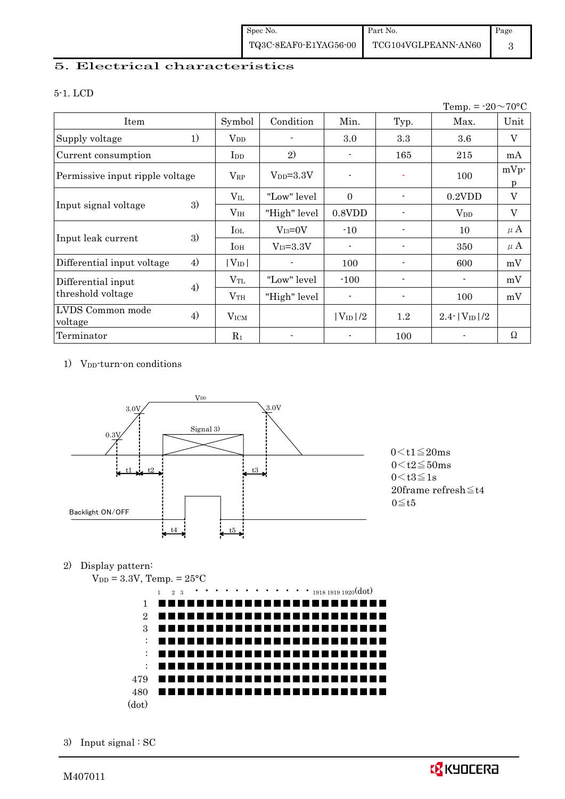### 5. Electrical characteristics

#### 5-1. LCD

|                                 |    |                 |               |                |                          | Temp. = $-20 \sim 70$ °C |              |
|---------------------------------|----|-----------------|---------------|----------------|--------------------------|--------------------------|--------------|
| Item                            |    | Symbol          | Condition     | Min.           | Typ.                     | Max.                     | Unit         |
| Supply voltage                  | 1) | $\rm V_{DD}$    |               | 3.0            | 3.3                      | $3.6\,$                  | $\mathbf{V}$ |
| Current consumption             |    | I <sub>DD</sub> | 2)            |                | 165                      | 215                      | mA           |
| Permissive input ripple voltage |    | $V_{RP}$        | $V_{DD}=3.3V$ | $\blacksquare$ |                          | 100                      | $mVp$ -<br>p |
| 3)<br>Input signal voltage      |    | $V_{\rm IL}$    | "Low" level   | $\Omega$       |                          | $0.2$ VDD                | V            |
|                                 |    | V <sub>IH</sub> | "High" level  | $0.8$ VDD      |                          | $V_{DD}$                 | V            |
|                                 | 3) | $_{\rm IoL}$    | $V_{I3}=0V$   | $-10$          |                          | 10                       | $\mu$ A      |
| Input leak current              |    | $I_{OH}$        | $V_{I3}=3.3V$ | $\blacksquare$ | $\blacksquare$           | 350                      | $\mu$ A      |
| Differential input voltage      | 4) | $ V_{ID} $      |               | 100            |                          | 600                      | mV           |
| Differential input              |    | $\rm V_{TL}$    | "Low" level   | $-100$         |                          |                          | mV           |
| threshold voltage               | 4) | $\rm V_{TH}$    | "High" level  | $\blacksquare$ | $\overline{\phantom{a}}$ | 100                      | mV           |
| LVDS Common mode<br>voltage     | 4) | <b>VICM</b>     |               | $ V_{ID} /2$   | $1.2\,$                  | $2.4$ - $ V_{ID} /2$     |              |
| Terminator                      |    | $R_1$           |               |                | 100                      |                          | Ω            |

1) V<sub>DD</sub>-turn-on conditions



 $0 \leq t1 \leq 20$ ms  $0 < t3 \leq 1s$  20frame refresh≦t4  $0 \leq t5$ 

#### 2) Display pattern:

 $V_{DD} = 3.3V$ , Temp. =  $25^{\circ}$ C



3) Input signal : SC

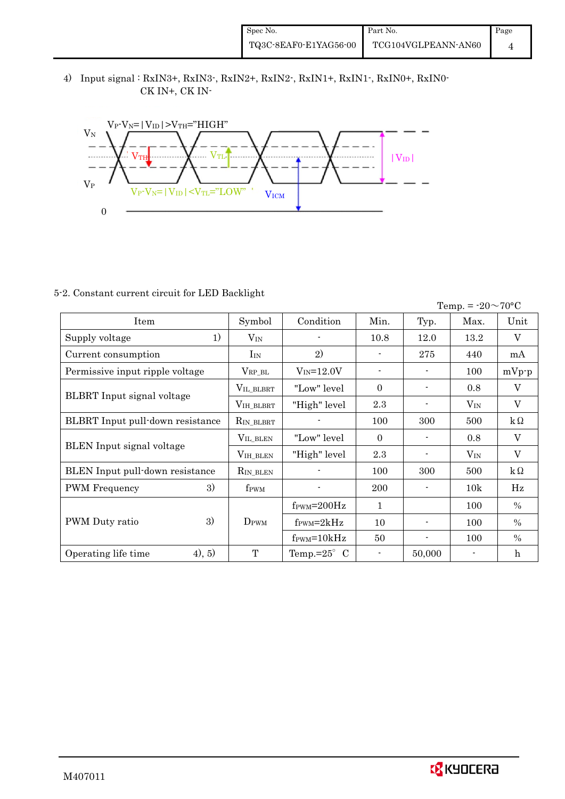4) Input signal : RxIN3+, RxIN3-, RxIN2+, RxIN2-, RxIN1+, RxIN1-, RxIN0+, RxIN0- CK IN+, CK IN-



#### 5-2. Constant current circuit for LED Backlight

| Temp. = $-20 \sim 70$ °C          |                    |                                  |              |                          |          |               |  |
|-----------------------------------|--------------------|----------------------------------|--------------|--------------------------|----------|---------------|--|
| Item                              | Symbol             | Condition                        | Min.         | Typ.                     | Max.     | Unit          |  |
| 1)<br>Supply voltage              | $V_{IN}$           |                                  | 10.8         | 12.0                     | 13.2     | $\mathbf{V}$  |  |
| Current consumption               | $I_{IN}$           | 2)                               |              | 275                      | 440      | mA            |  |
| Permissive input ripple voltage   | $V_{RP\_BL}$       | $V_{IN} = 12.0V$                 |              |                          | 100      | $mVp-p$       |  |
|                                   | VIL_BLBRT          | "Low" level                      | $\Omega$     | $\blacksquare$           | 0.8      | V             |  |
| <b>BLBRT</b> Input signal voltage | VIH_BLBRT          | "High" level                     | 2.3          |                          | $V_{IN}$ | V             |  |
| BLBRT Input pull-down resistance  | RIN_BLBRT          |                                  | 100          | 300                      | 500      | $k\Omega$     |  |
|                                   | VIL_BLEN           | "Low" level                      | $\theta$     |                          | 0.8      | V             |  |
| <b>BLEN</b> Input signal voltage  | $V_{\rm IH\_BLEN}$ | "High" level                     | 2.3          |                          | $V_{IN}$ | V             |  |
| BLEN Input pull-down resistance   | RIN_BLEN           |                                  | 100          | 300                      | 500      | $k\Omega$     |  |
| 3)<br><b>PWM</b> Frequency        | f <sub>PWM</sub>   |                                  | 200          | $\overline{\phantom{a}}$ | 10k      | Hz            |  |
|                                   |                    | $f_{\text{PWM}} = 200 \text{Hz}$ | $\mathbf{1}$ |                          | 100      | $\frac{0}{0}$ |  |
| 3)<br>PWM Duty ratio              | $D_{\rm PWM}$      | $f_{\rm PWM} = 2kHz$             | 10           |                          | 100      | $\%$          |  |
|                                   |                    | $f_{\text{PWM}} = 10kHz$         | 50           | $\blacksquare$           | 100      | $\frac{0}{0}$ |  |
| (4), 5)<br>Operating life time    | T                  | Temp.= $25^{\circ}$ C            |              | 50,000                   |          | $\mathbf h$   |  |

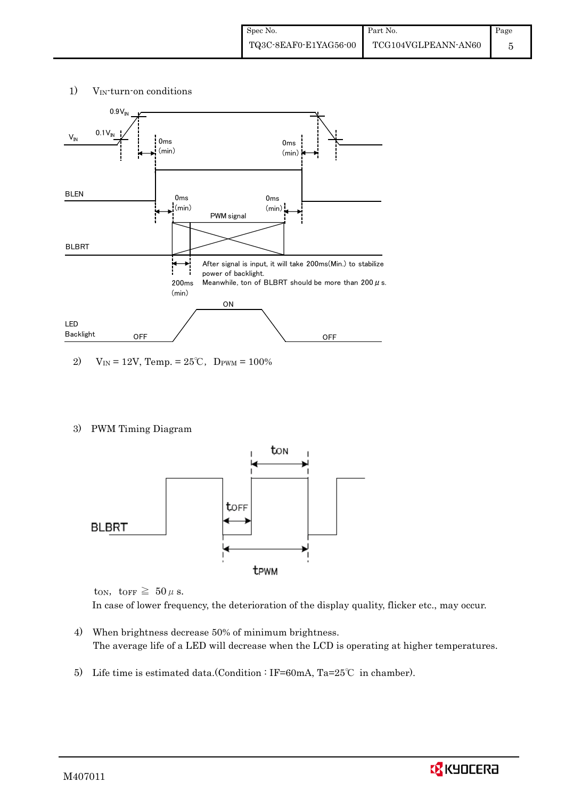#### 1) VIN-turn-on conditions



2) V<sub>IN</sub> = 12V, Temp. = 25°C, D<sub>PWM</sub> = 100%

#### 3) PWM Timing Diagram



ton, torr  $\geq 50 \mu$  s. In case of lower frequency, the deterioration of the display quality, flicker etc., may occur.

- 4) When brightness decrease 50% of minimum brightness. The average life of a LED will decrease when the LCD is operating at higher temperatures.
- 5) Life time is estimated data.(Condition : IF=60mA, Ta=25℃ in chamber).

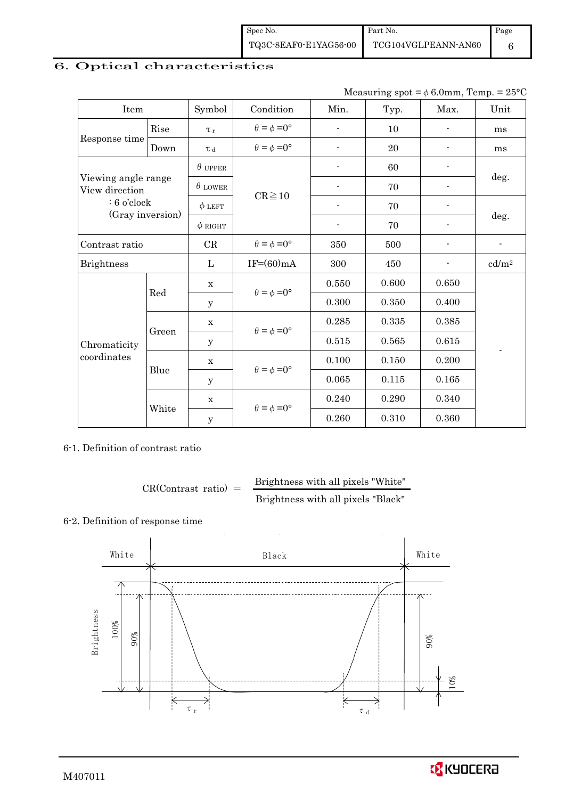| Spec No.              | Part No.            | Page |
|-----------------------|---------------------|------|
| TQ3C-8EAF0-E1YAG56-00 | TCG104VGLPEANN-AN60 |      |

# 6. Optical characteristics

| Measuring spot = $\phi$ 6.0mm, Temp. = 25°C |  |
|---------------------------------------------|--|
|---------------------------------------------|--|

| Item                                  |       | Symbol         | Condition                   | Min.                     | Typ.  | Max.                     | Unit              |
|---------------------------------------|-------|----------------|-----------------------------|--------------------------|-------|--------------------------|-------------------|
|                                       | Rise  | $\tau_r$       | $\theta = \phi = 0^{\circ}$ |                          | 10    |                          | ms                |
| Response time                         | Down  | T d            | $\theta = \phi = 0^{\circ}$ |                          | 20    |                          | ms                |
|                                       |       | $\theta$ upper |                             |                          | 60    |                          |                   |
| Viewing angle range<br>View direction |       | $\theta$ LOWER | $CR \ge 10$                 |                          | 70    |                          | deg.              |
| $: 6$ o'clock                         |       | $\phi$ LEFT    |                             | $\overline{\phantom{a}}$ | 70    | $\overline{\phantom{a}}$ |                   |
| (Gray inversion)                      |       | $\phi$ RIGHT   |                             | $\blacksquare$           | 70    |                          | deg.              |
| Contrast ratio                        |       | CR             | $\theta = \phi = 0^{\circ}$ | 350                      | 500   |                          |                   |
| <b>Brightness</b>                     |       | L              | $IF=(60)mA$                 | 300                      | 450   |                          | cd/m <sup>2</sup> |
|                                       |       | $\mathbf X$    |                             | 0.550                    | 0.600 | 0.650                    |                   |
|                                       | Red   | y              | $\theta = \phi = 0^{\circ}$ | 0.300                    | 0.350 | 0.400                    |                   |
|                                       |       | $\mathbf X$    |                             | 0.285                    | 0.335 | 0.385                    |                   |
| Chromaticity                          | Green | У              | $\theta = \phi = 0^{\circ}$ | 0.515                    | 0.565 | 0.615                    |                   |
| coordinates                           |       | $\mathbf X$    | $\theta = \phi = 0^{\circ}$ | 0.100                    | 0.150 | 0.200                    |                   |
|                                       | Blue  | У              |                             | 0.065                    | 0.115 | 0.165                    |                   |
|                                       |       | $\mathbf X$    | $\theta = \phi = 0^{\circ}$ | 0.240                    | 0.290 | 0.340                    |                   |
|                                       | White | $\mathbf y$    |                             | 0.260                    | 0.310 | 0.360                    |                   |

6-1. Definition of contrast ratio

$$
CR(Contrast ratio) = \frac{Brightness with all pixels "White" }{Brightness with all pixels "Black" }
$$

### 6-2. Definition of response time



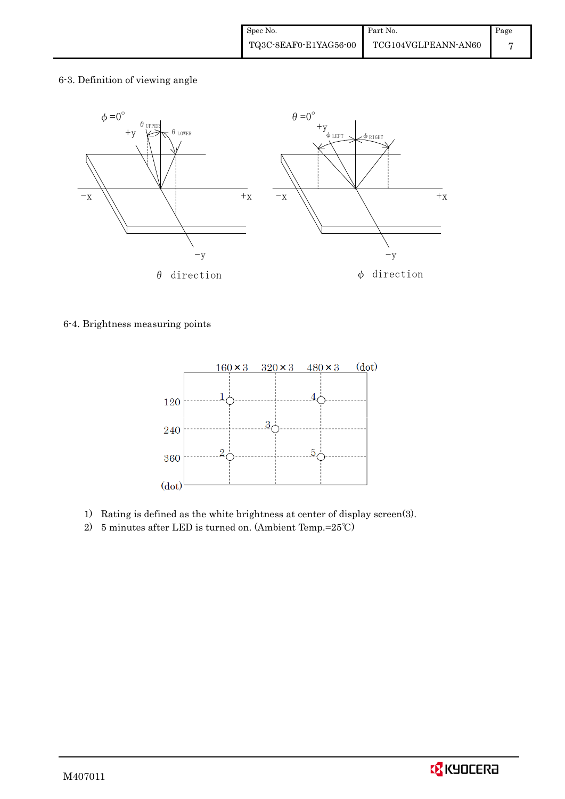6-3. Definition of viewing angle



#### 6-4. Brightness measuring points



- 1) Rating is defined as the white brightness at center of display screen(3).
- 2) 5 minutes after LED is turned on. (Ambient Temp.=25℃)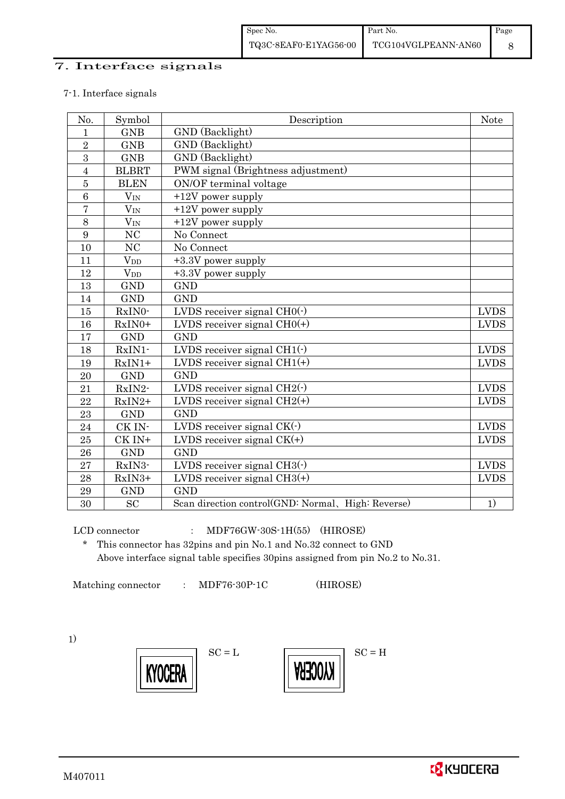#### 7. Interface signals

#### 7-1. Interface signals

| No.            | Symbol                | Description                                        | <b>Note</b> |
|----------------|-----------------------|----------------------------------------------------|-------------|
| $\mathbf{1}$   | <b>GNB</b>            | GND (Backlight)                                    |             |
| $\overline{2}$ | <b>GNB</b>            | GND (Backlight)                                    |             |
| 3              | <b>GNB</b>            | GND (Backlight)                                    |             |
| $\overline{4}$ | <b>BLBRT</b>          | PWM signal (Brightness adjustment)                 |             |
| $\bf 5$        | <b>BLEN</b>           | ON/OF terminal voltage                             |             |
| $\overline{6}$ | $V_{IN}$              | $+12V$ power supply                                |             |
| $\overline{7}$ | $V_{IN}$              | $+12V$ power supply                                |             |
| 8              | $V_{IN}$              | $+12V$ power supply                                |             |
| 9              | N <sub>C</sub>        | No Connect                                         |             |
| 10             | NC                    | No Connect                                         |             |
| 11             | $V_{DD}$              | +3.3V power supply                                 |             |
| 12             | <b>V</b> <sub>D</sub> | +3.3V power supply                                 |             |
| 13             | <b>GND</b>            | <b>GND</b>                                         |             |
| 14             | <b>GND</b>            | <b>GND</b>                                         |             |
| 15             | RxIN0-                | LVDS receiver signal CH0(-)                        | <b>LVDS</b> |
| 16             | RxIN0+                | LVDS receiver signal $CHO(+)$                      | <b>LVDS</b> |
| 17             | <b>GND</b>            | <b>GND</b>                                         |             |
| 18             | RxIN1-                | LVDS receiver signal $CH1(\cdot)$                  | <b>LVDS</b> |
| 19             | $RxIN1+$              | LVDS receiver signal $CH1(+)$                      | <b>LVDS</b> |
| 20             | <b>GND</b>            | <b>GND</b>                                         |             |
| 21             | RxIN2-                | LVDS receiver signal $CH2(\cdot)$                  | <b>LVDS</b> |
| 22             | $RxIN2+$              | LVDS receiver signal $CH2(+)$                      | <b>LVDS</b> |
| 23             | <b>GND</b>            | <b>GND</b>                                         |             |
| 24             | CK IN-                | LVDS receiver signal $CK(\cdot)$                   | <b>LVDS</b> |
| 25             | $CK IN+$              | LVDS receiver signal $CK(+)$                       | <b>LVDS</b> |
| 26             | <b>GND</b>            | <b>GND</b>                                         |             |
| 27             | RxIN3-                | LVDS receiver signal $CH3(\cdot)$                  | <b>LVDS</b> |
| 28             | RxIN3+                | LVDS receiver signal $CH3(+)$                      | <b>LVDS</b> |
| 29             | <b>GND</b>            | <b>GND</b>                                         |             |
| 30             | <b>SC</b>             | Scan direction control(GND: Normal, High: Reverse) | 1)          |

LCD connector : MDF76GW-30S-1H(55) (HIROSE)

\* This connector has 32pins and pin No.1 and No.32 connect to GND Above interface signal table specifies 30pins assigned from pin No.2 to No.31.

Matching connector : MDF76-30P-1C (HIROSE)

1)



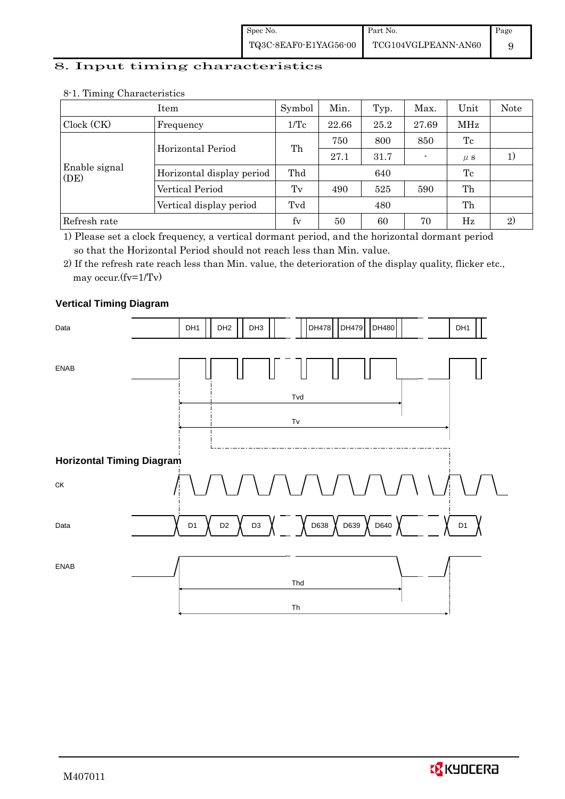#### 8. Input timing characteristics

|                       | Item                      | Symbol  | Min.  | Typ. | Max.  | Unit    | <b>Note</b> |
|-----------------------|---------------------------|---------|-------|------|-------|---------|-------------|
| Clock (CK)            | Frequency                 | 1/Tc    | 22.66 | 25.2 | 27.69 | MHz     |             |
|                       | Horizontal Period         |         | 750   | 800  | 850   | Tc      |             |
|                       |                           | Th      | 27.1  | 31.7 |       | $\mu$ s |             |
| Enable signal<br>(DE) | Horizontal display period | Thd     |       | 640  |       | Tc      |             |
|                       | Vertical Period           | $T_{V}$ | 490   | 525  | 590   | Th      |             |
|                       | Vertical display period   | Tvd     |       | 480  |       | Th      |             |
| Refresh rate          |                           | fy      | 50    | 60   | 70    | Hz      | 2)          |

#### 8-1. Timing Characteristics

1) Please set a clock frequency, a vertical dormant period, and the horizontal dormant period so that the Horizontal Period should not reach less than Min. value.

2) If the refresh rate reach less than Min. value, the deterioration of the display quality, flicker etc., may occur.(fv=1/Tv)

#### **Vertical Timing Diagram**

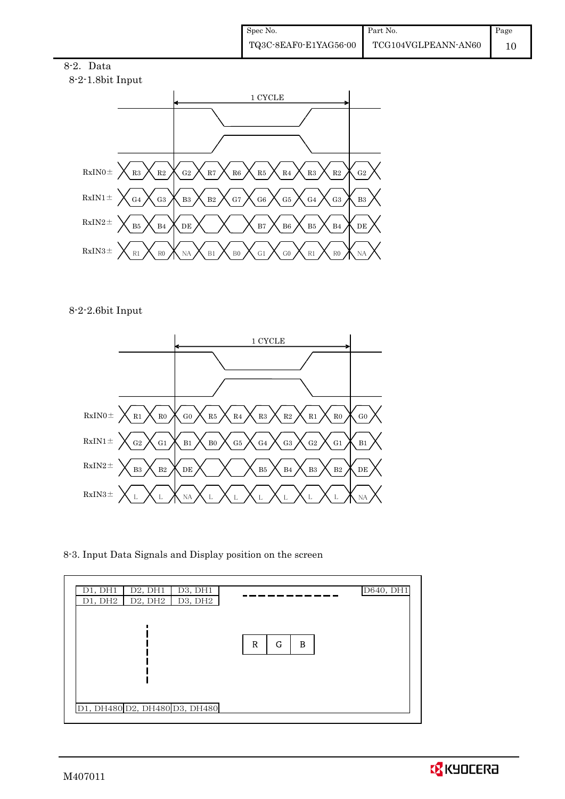



8-2-2.6bit Input



8-3. Input Data Signals and Display position on the screen

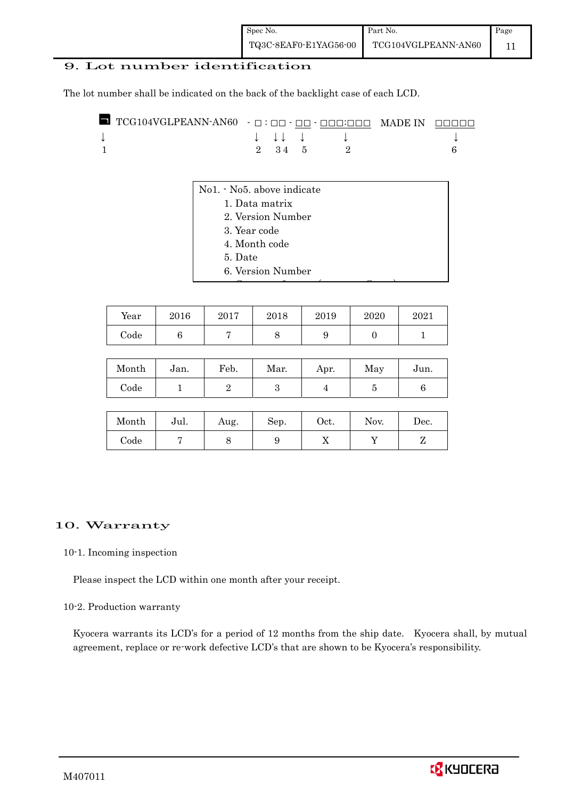#### 9. Lot number identification

The lot number shall be indicated on the back of the backlight case of each LCD.

|  |        | $\downarrow$ $\downarrow$ $\downarrow$ $\downarrow$ |  |
|--|--------|-----------------------------------------------------|--|
|  | 2 34 5 |                                                     |  |

- No1. No5. above indicate
	- 1. Data matrix
		- 2. Version Number
	- 3. Year code
	- 4. Month code
	- 5. Date
	- 6. Version Number

| Year | 2016 | 2017 | 2018 | 2019 | 2020 | 2021 |
|------|------|------|------|------|------|------|
| Code |      |      |      |      |      |      |

C f ( C)

| Month      | Jan. | Feb. | Mar. | Apr. | May | Jun. |
|------------|------|------|------|------|-----|------|
| $\rm Code$ |      |      |      |      |     |      |

| Month      | Jul. | Aug. | Sep. | $_{\rm Oct.}$ | Nov. | Dec. |
|------------|------|------|------|---------------|------|------|
| $\rm Code$ |      |      |      | v             |      | -    |

#### 10. Warranty

#### 10-1. Incoming inspection

Please inspect the LCD within one month after your receipt.

10-2. Production warranty

 Kyocera warrants its LCD's for a period of 12 months from the ship date. Kyocera shall, by mutual agreement, replace or re-work defective LCD's that are shown to be Kyocera's responsibility.

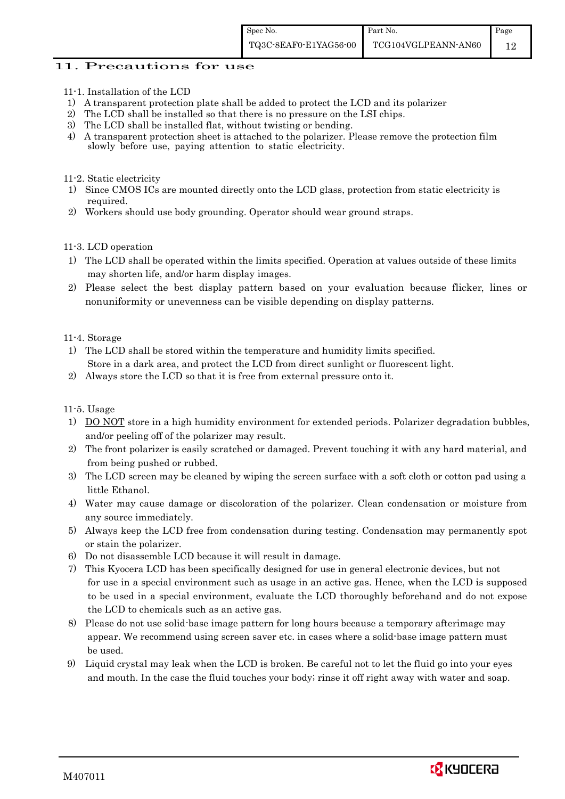#### 11. Precautions for use

- 11-1. Installation of the LCD
- 1) A transparent protection plate shall be added to protect the LCD and its polarizer
- 2) The LCD shall be installed so that there is no pressure on the LSI chips.
- 3) The LCD shall be installed flat, without twisting or bending.
- 4) A transparent protection sheet is attached to the polarizer. Please remove the protection film slowly before use, paying attention to static electricity.

11-2. Static electricity

- 1) Since CMOS ICs are mounted directly onto the LCD glass, protection from static electricity is required.
- 2) Workers should use body grounding. Operator should wear ground straps.

11-3. LCD operation

- 1) The LCD shall be operated within the limits specified. Operation at values outside of these limits may shorten life, and/or harm display images.
- 2) Please select the best display pattern based on your evaluation because flicker, lines or nonuniformity or unevenness can be visible depending on display patterns.

11-4. Storage

- 1) The LCD shall be stored within the temperature and humidity limits specified. Store in a dark area, and protect the LCD from direct sunlight or fluorescent light.
- 2) Always store the LCD so that it is free from external pressure onto it.

11-5. Usage

- 1) DO NOT store in a high humidity environment for extended periods. Polarizer degradation bubbles, and/or peeling off of the polarizer may result.
- 2) The front polarizer is easily scratched or damaged. Prevent touching it with any hard material, and from being pushed or rubbed.
- 3) The LCD screen may be cleaned by wiping the screen surface with a soft cloth or cotton pad using a little Ethanol.
- 4) Water may cause damage or discoloration of the polarizer. Clean condensation or moisture from any source immediately.
- 5) Always keep the LCD free from condensation during testing. Condensation may permanently spot or stain the polarizer.
- 6) Do not disassemble LCD because it will result in damage.
- 7) This Kyocera LCD has been specifically designed for use in general electronic devices, but not for use in a special environment such as usage in an active gas. Hence, when the LCD is supposed to be used in a special environment, evaluate the LCD thoroughly beforehand and do not expose the LCD to chemicals such as an active gas.
- 8) Please do not use solid-base image pattern for long hours because a temporary afterimage may appear. We recommend using screen saver etc. in cases where a solid-base image pattern must be used.
- 9) Liquid crystal may leak when the LCD is broken. Be careful not to let the fluid go into your eyes and mouth. In the case the fluid touches your body; rinse it off right away with water and soap.

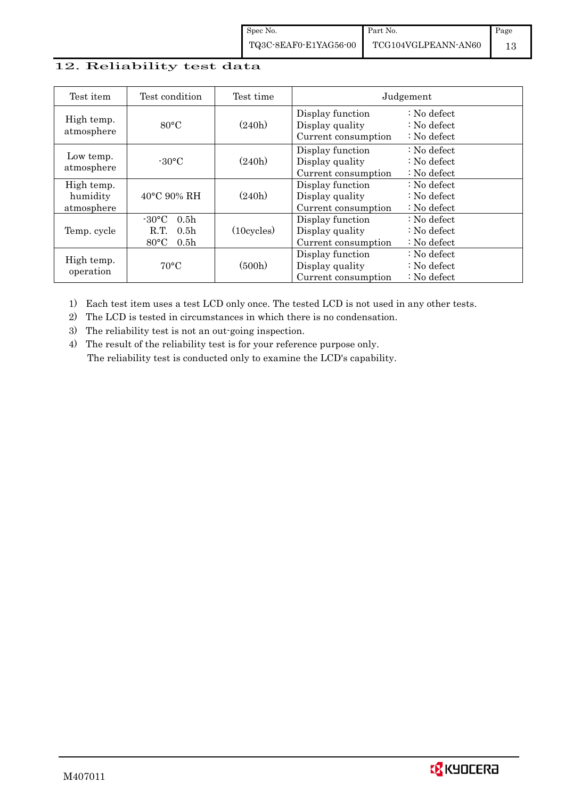### 12. Reliability test data

| Test item                            | Test condition                                                                                        | Test time            |                                                            | Judgement                                                                  |
|--------------------------------------|-------------------------------------------------------------------------------------------------------|----------------------|------------------------------------------------------------|----------------------------------------------------------------------------|
| High temp.<br>atmosphere             | $80^{\circ}$ C                                                                                        | (240h)               | Display function<br>Display quality<br>Current consumption | $\therefore$ No defect<br>$\therefore$ No defect<br>$\therefore$ No defect |
| Low temp.<br>atmosphere              | $-30$ °C                                                                                              | (240h)               | Display function<br>Display quality<br>Current consumption | $\therefore$ No defect<br>: No defect<br>$\therefore$ No defect            |
| High temp.<br>humidity<br>atmosphere | $40^{\circ}$ C 90% RH                                                                                 | (240h)               | Display function<br>Display quality<br>Current consumption | : No defect<br>$\therefore$ No defect<br>$\therefore$ No defect            |
| Temp. cycle                          | $-30^{\circ}$ C<br>0.5 <sub>h</sub><br>0.5 <sub>h</sub><br>R.T.<br>$80^{\circ}$ C<br>0.5 <sub>h</sub> | $(10 \text{cycles})$ | Display function<br>Display quality<br>Current consumption | $\therefore$ No defect<br>$\therefore$ No defect<br>$\therefore$ No defect |
| High temp.<br>operation              | $70^{\circ}$ C                                                                                        | (500h)               | Display function<br>Display quality<br>Current consumption | : No defect<br>$\therefore$ No defect<br>$\therefore$ No defect            |

1) Each test item uses a test LCD only once. The tested LCD is not used in any other tests.

2) The LCD is tested in circumstances in which there is no condensation.

3) The reliability test is not an out-going inspection.

4) The result of the reliability test is for your reference purpose only. The reliability test is conducted only to examine the LCD's capability.

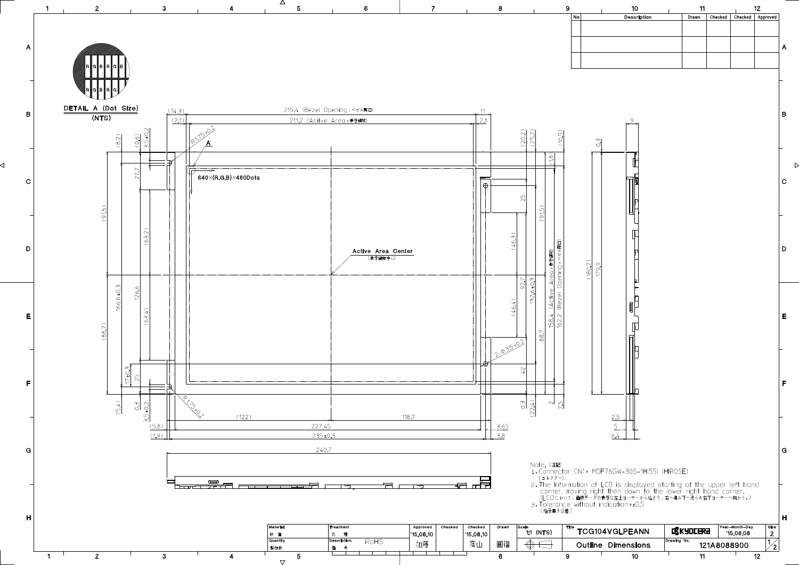

◁

 $\triangleright$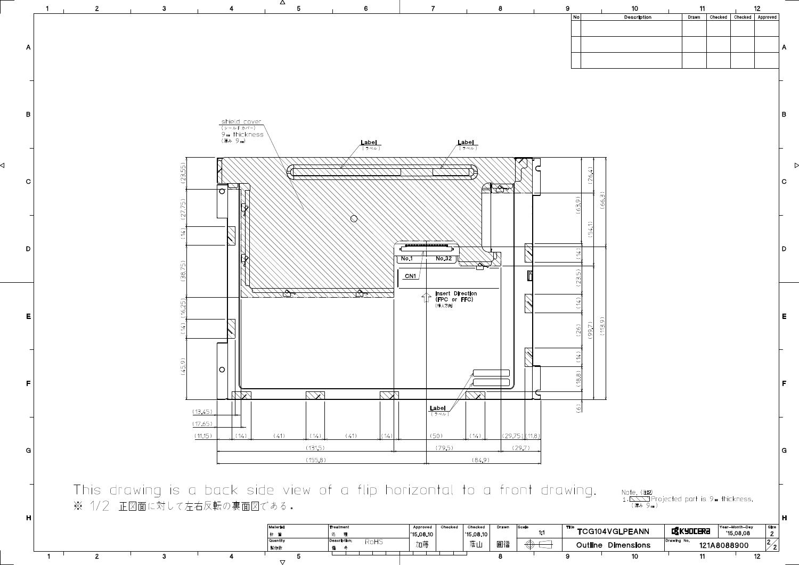

 $\nabla$ 

| ved<br>3.10 | <b>Checked</b> | Checked<br>$^{\prime}$ 15.08.10 | Drawn | Scale<br>1:1 | Title          | <b>TCG104VGLPEANN</b> | <b>EXKYOCERA</b> | Year-Month-Day<br>'15.08.08 | <b>Size</b><br>- - |
|-------------|----------------|---------------------------------|-------|--------------|----------------|-----------------------|------------------|-----------------------------|--------------------|
|             |                | 蔭山                              | 圓福    | W,           | <b>Outline</b> | <b>Dimensions</b>     | Drawing No.      | 121A8088900                 | 2                  |
|             |                |                                 |       |              |                | 10                    |                  | 12                          |                    |

 $\triangleright$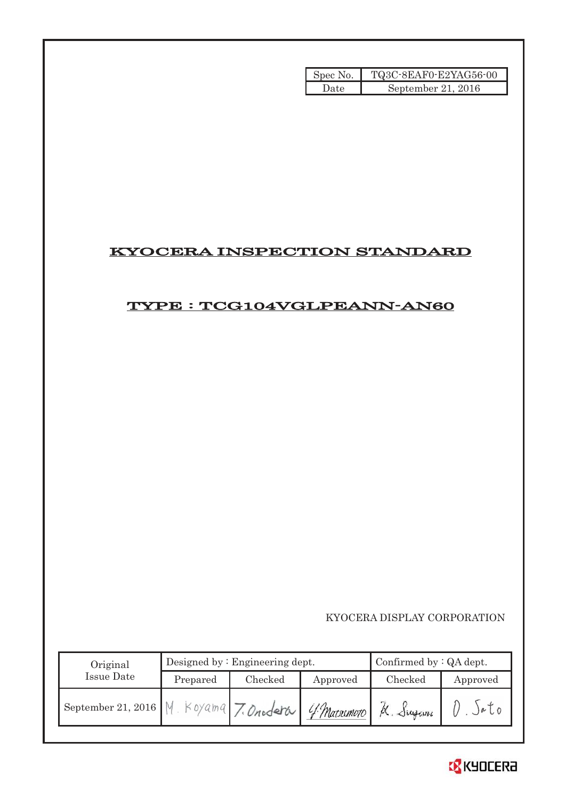| Spec No. | TQ3C-8EAF0-E2YAG56-00 |
|----------|-----------------------|
| Date     | September 21, $2016$  |

# KYOCERA INSPECTION STANDARD

# TYPE : TCG104VGLPEANN-AN60

KYOCERA DISPLAY CORPORATION

| Original                                  |          | Designed by $:$ Engineering dept. | Confirmed by $:QA$ dept. |          |           |
|-------------------------------------------|----------|-----------------------------------|--------------------------|----------|-----------|
| Issue Date                                | Prepared | Checked                           | Approved                 | Checked  | Approved  |
| Beptember 21, 2016   M. Koyama 7. Onodera |          |                                   | 4 Matsimoto              | K. Sugam | $\mu$ , 0 |

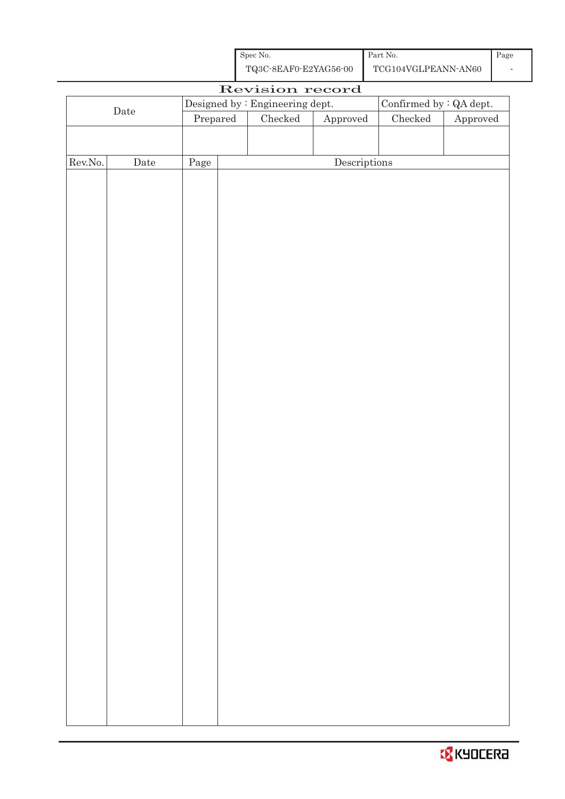| Spec No.              | Part No.            |  |
|-----------------------|---------------------|--|
| TQ3C-8EAF0-E2YAG56-00 | TCG104VGLPEANN-AN60 |  |

| Revision record  |             |          |  |                                                                       |                                      |                                |          |  |
|------------------|-------------|----------|--|-----------------------------------------------------------------------|--------------------------------------|--------------------------------|----------|--|
| $\rm{Date}$      |             |          |  | $\label{eq:obs:obs:resonance} \text{Designed by : Engineering dept.}$ |                                      | Confirmed by $\colon$ QA dept. |          |  |
|                  |             | Prepared |  | $\rm Checked$                                                         | ${\Large\bf Approved}$               | $\rm Checked$                  | Approved |  |
|                  |             |          |  |                                                                       |                                      |                                |          |  |
|                  |             |          |  |                                                                       |                                      |                                |          |  |
| ${\rm Rev. No.}$ | $\rm{Date}$ | Page     |  |                                                                       | $\label{eq:2} \textbf{Descriptions}$ |                                |          |  |
|                  |             |          |  |                                                                       |                                      |                                |          |  |
|                  |             |          |  |                                                                       |                                      |                                |          |  |
|                  |             |          |  |                                                                       |                                      |                                |          |  |
|                  |             |          |  |                                                                       |                                      |                                |          |  |
|                  |             |          |  |                                                                       |                                      |                                |          |  |
|                  |             |          |  |                                                                       |                                      |                                |          |  |
|                  |             |          |  |                                                                       |                                      |                                |          |  |
|                  |             |          |  |                                                                       |                                      |                                |          |  |
|                  |             |          |  |                                                                       |                                      |                                |          |  |
|                  |             |          |  |                                                                       |                                      |                                |          |  |
|                  |             |          |  |                                                                       |                                      |                                |          |  |
|                  |             |          |  |                                                                       |                                      |                                |          |  |
|                  |             |          |  |                                                                       |                                      |                                |          |  |
|                  |             |          |  |                                                                       |                                      |                                |          |  |
|                  |             |          |  |                                                                       |                                      |                                |          |  |
|                  |             |          |  |                                                                       |                                      |                                |          |  |
|                  |             |          |  |                                                                       |                                      |                                |          |  |
|                  |             |          |  |                                                                       |                                      |                                |          |  |
|                  |             |          |  |                                                                       |                                      |                                |          |  |
|                  |             |          |  |                                                                       |                                      |                                |          |  |
|                  |             |          |  |                                                                       |                                      |                                |          |  |
|                  |             |          |  |                                                                       |                                      |                                |          |  |
|                  |             |          |  |                                                                       |                                      |                                |          |  |
|                  |             |          |  |                                                                       |                                      |                                |          |  |
|                  |             |          |  |                                                                       |                                      |                                |          |  |
|                  |             |          |  |                                                                       |                                      |                                |          |  |
|                  |             |          |  |                                                                       |                                      |                                |          |  |
|                  |             |          |  |                                                                       |                                      |                                |          |  |
|                  |             |          |  |                                                                       |                                      |                                |          |  |
|                  |             |          |  |                                                                       |                                      |                                |          |  |
|                  |             |          |  |                                                                       |                                      |                                |          |  |
|                  |             |          |  |                                                                       |                                      |                                |          |  |
|                  |             |          |  |                                                                       |                                      |                                |          |  |
|                  |             |          |  |                                                                       |                                      |                                |          |  |
|                  |             |          |  |                                                                       |                                      |                                |          |  |
|                  |             |          |  |                                                                       |                                      |                                |          |  |
|                  |             |          |  |                                                                       |                                      |                                |          |  |

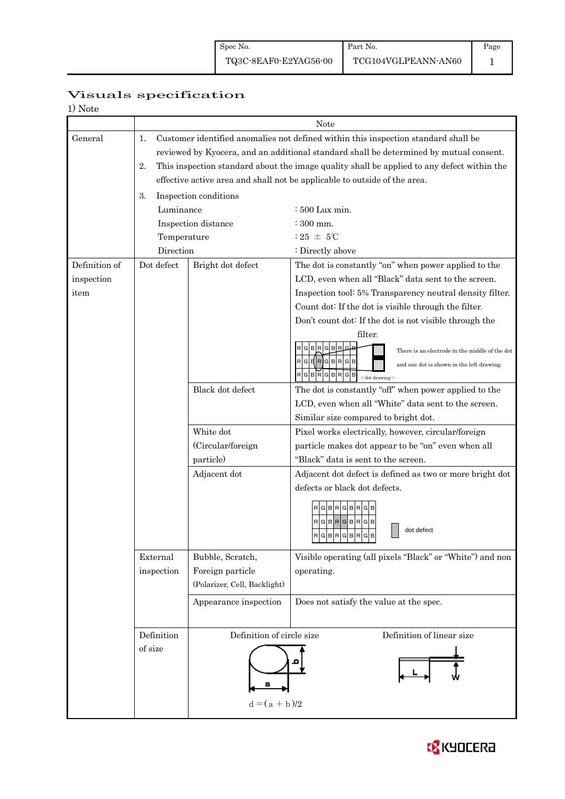# Page

# Visuals specification

| 1) Note |  |
|---------|--|
|---------|--|

|               |                                                                                                  | Note                         |                                                                  |  |  |  |  |  |
|---------------|--------------------------------------------------------------------------------------------------|------------------------------|------------------------------------------------------------------|--|--|--|--|--|
| General       | 1.<br>Customer identified anomalies not defined within this inspection standard shall be         |                              |                                                                  |  |  |  |  |  |
|               | reviewed by Kyocera, and an additional standard shall be determined by mutual consent.           |                              |                                                                  |  |  |  |  |  |
|               | This inspection standard about the image quality shall be applied to any defect within the<br>2. |                              |                                                                  |  |  |  |  |  |
|               | effective active area and shall not be applicable to outside of the area.                        |                              |                                                                  |  |  |  |  |  |
|               | 3.<br>Inspection conditions                                                                      |                              |                                                                  |  |  |  |  |  |
|               | Luminance                                                                                        |                              | $\div 500$ Lux min.                                              |  |  |  |  |  |
|               |                                                                                                  | Inspection distance          | $\approx 300$ mm.                                                |  |  |  |  |  |
|               | Temperature                                                                                      |                              | : 25 $\pm$ 5°C                                                   |  |  |  |  |  |
|               | Direction                                                                                        |                              | : Directly above                                                 |  |  |  |  |  |
| Definition of | Dot defect                                                                                       | Bright dot defect            | The dot is constantly "on" when power applied to the             |  |  |  |  |  |
| inspection    |                                                                                                  |                              | LCD, even when all "Black" data sent to the screen.              |  |  |  |  |  |
| item          |                                                                                                  |                              | Inspection tool: 5% Transparency neutral density filter.         |  |  |  |  |  |
|               |                                                                                                  |                              | Count dot: If the dot is visible through the filter.             |  |  |  |  |  |
|               |                                                                                                  |                              | Don't count dot: If the dot is not visible through the           |  |  |  |  |  |
|               |                                                                                                  |                              | filter.                                                          |  |  |  |  |  |
|               |                                                                                                  |                              | GBRGB<br>There is an electrode in the middle of the dot          |  |  |  |  |  |
|               |                                                                                                  |                              | $RG$ $RG$ $RG$ $RG$<br>and one dot is shown in the left drawing. |  |  |  |  |  |
|               |                                                                                                  |                              | RGBRGBRGB<br>$<$ dot drawing $>$                                 |  |  |  |  |  |
|               |                                                                                                  | Black dot defect             | The dot is constantly "off" when power applied to the            |  |  |  |  |  |
|               |                                                                                                  |                              | LCD, even when all "White" data sent to the screen.              |  |  |  |  |  |
|               |                                                                                                  |                              | Similar size compared to bright dot.                             |  |  |  |  |  |
|               | White dot                                                                                        |                              | Pixel works electrically, however, circular/foreign              |  |  |  |  |  |
|               | (Circular/foreign                                                                                |                              | particle makes dot appear to be "on" even when all               |  |  |  |  |  |
|               | particle)                                                                                        |                              | "Black" data is sent to the screen.                              |  |  |  |  |  |
|               |                                                                                                  | Adjacent dot                 | Adjacent dot defect is defined as two or more bright dot         |  |  |  |  |  |
|               |                                                                                                  |                              | defects or black dot defects.                                    |  |  |  |  |  |
|               |                                                                                                  |                              |                                                                  |  |  |  |  |  |
|               |                                                                                                  |                              | RGBRGBR                                                          |  |  |  |  |  |
|               |                                                                                                  |                              | $R$ G $B$ R $G$ B $R$ G $B$<br>dot defect                        |  |  |  |  |  |
|               |                                                                                                  |                              | RGBRGBRGB                                                        |  |  |  |  |  |
|               | External                                                                                         | Bubble, Scratch,             | Visible operating (all pixels "Black" or "White") and non        |  |  |  |  |  |
|               | inspection                                                                                       | Foreign particle             | operating.                                                       |  |  |  |  |  |
|               |                                                                                                  | (Polarizer, Cell, Backlight) |                                                                  |  |  |  |  |  |
|               |                                                                                                  | Appearance inspection        | Does not satisfy the value at the spec.                          |  |  |  |  |  |
|               |                                                                                                  |                              |                                                                  |  |  |  |  |  |
|               | Definition of circle size<br>Definition                                                          |                              | Definition of linear size                                        |  |  |  |  |  |
|               | of size                                                                                          |                              |                                                                  |  |  |  |  |  |
|               |                                                                                                  |                              |                                                                  |  |  |  |  |  |
|               |                                                                                                  |                              |                                                                  |  |  |  |  |  |
|               |                                                                                                  |                              |                                                                  |  |  |  |  |  |
|               |                                                                                                  | $d = (a + b)/2$              |                                                                  |  |  |  |  |  |
|               |                                                                                                  |                              |                                                                  |  |  |  |  |  |